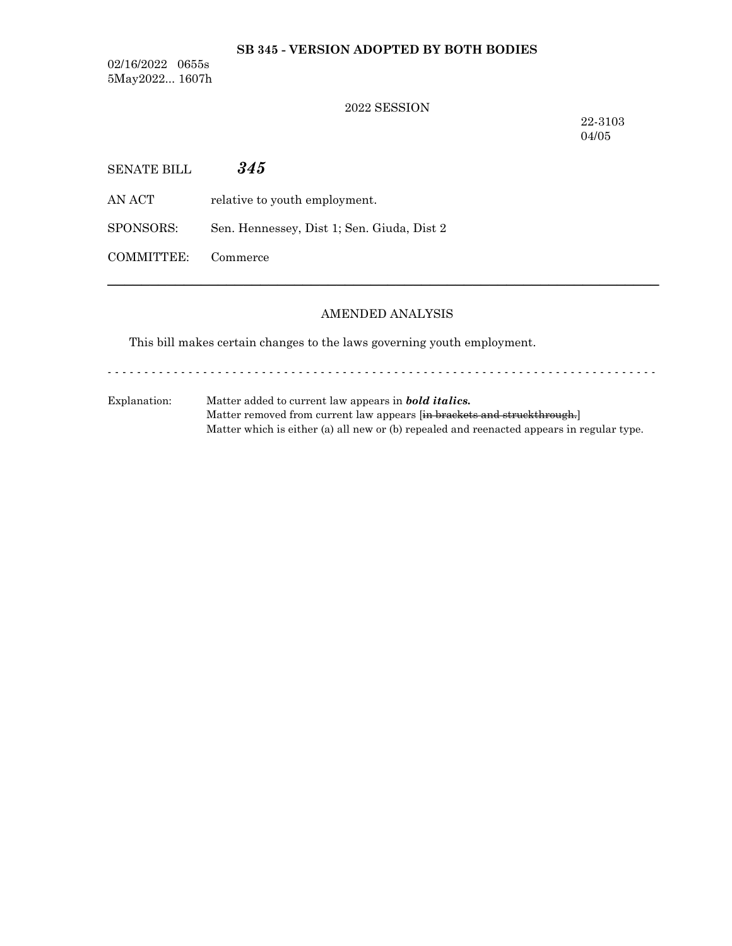### **SB 345 - VERSION ADOPTED BY BOTH BODIES**

02/16/2022 0655s 5May2022... 1607h

### 2022 SESSION

22-3103 04/05

| SENATE BILL | 345                                        |
|-------------|--------------------------------------------|
| AN ACT -    | relative to youth employment.              |
| SPONSORS:   | Sen. Hennessey, Dist 1; Sen. Giuda, Dist 2 |
| COMMITTEE:  | Commerce                                   |

#### AMENDED ANALYSIS

─────────────────────────────────────────────────────────────────

This bill makes certain changes to the laws governing youth employment.

- - - - - - - - - - - - - - - - - - - - - - - - - - - - - - - - - - - - - - - - - - - - - - - - - - - - - - - - - - - - - - - - - - - - - - - - - - -

Explanation: Matter added to current law appears in *bold italics.* Matter removed from current law appears [in brackets and struckthrough.] Matter which is either (a) all new or (b) repealed and reenacted appears in regular type.